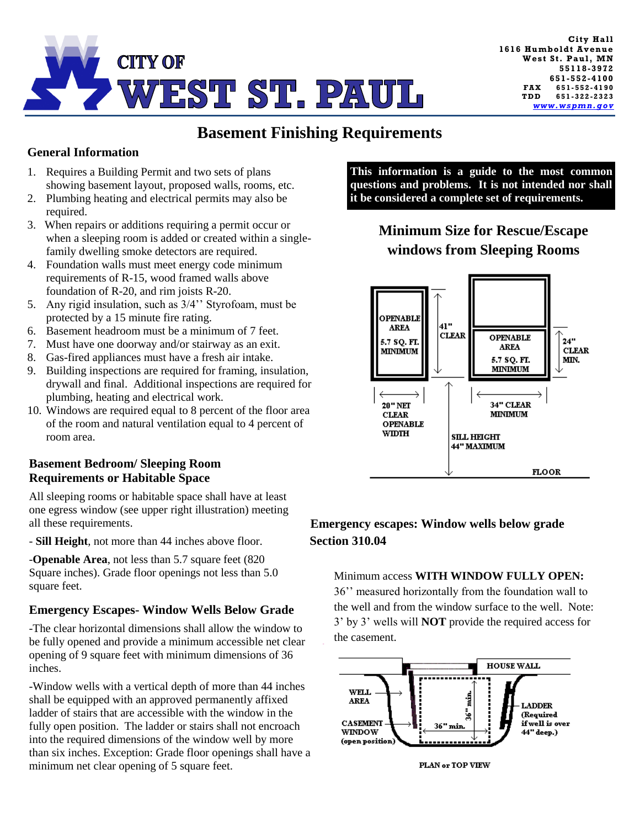

# **Basement Finishing Requirements**

### **General Information**

- 1. Requires a Building Permit and two sets of plans showing basement layout, proposed walls, rooms, etc.
- 2. Plumbing heating and electrical permits may also be required.
- 3. When repairs or additions requiring a permit occur or when a sleeping room is added or created within a singlefamily dwelling smoke detectors are required.
- 4. Foundation walls must meet energy code minimum requirements of R-15, wood framed walls above foundation of R-20, and rim joists R-20.
- 5. Any rigid insulation, such as 3/4'' Styrofoam, must be protected by a 15 minute fire rating.
- 6. Basement headroom must be a minimum of 7 feet.
- 7. Must have one doorway and/or stairway as an exit.
- 8. Gas-fired appliances must have a fresh air intake.
- 9. Building inspections are required for framing, insulation, drywall and final. Additional inspections are required for plumbing, heating and electrical work.
- 10. Windows are required equal to 8 percent of the floor area of the room and natural ventilation equal to 4 percent of room area.

#### **Basement Bedroom/ Sleeping Room Requirements or Habitable Space**

All sleeping rooms or habitable space shall have at least one egress window (see upper right illustration) meeting all these requirements.

- **Sill Height**, not more than 44 inches above floor.

-**Openable Area**, not less than 5.7 square feet (820 Square inches). Grade floor openings not less than 5.0 square feet.

#### **Emergency Escapes- Window Wells Below Grade**

-The clear horizontal dimensions shall allow the window to be fully opened and provide a minimum accessible net clear opening of 9 square feet with minimum dimensions of 36 inches.

-Window wells with a vertical depth of more than 44 inches shall be equipped with an approved permanently affixed ladder of stairs that are accessible with the window in the fully open position. The ladder or stairs shall not encroach into the required dimensions of the window well by more than six inches. Exception: Grade floor openings shall have a minimum net clear opening of 5 square feet.

**This information is a guide to the most common questions and problems. It is not intended nor shall it be considered a complete set of requirements.**

### **Minimum Size for Rescue/Escape windows from Sleeping Rooms**



### **Emergency escapes: Window wells below grade Section 310.04**

Minimum access **WITH WINDOW FULLY OPEN:**  36'' measured horizontally from the foundation wall to the well and from the window surface to the well. Note: 3' by 3' wells will **NOT** provide the required access for the casement.



PLAN or TOP VIEW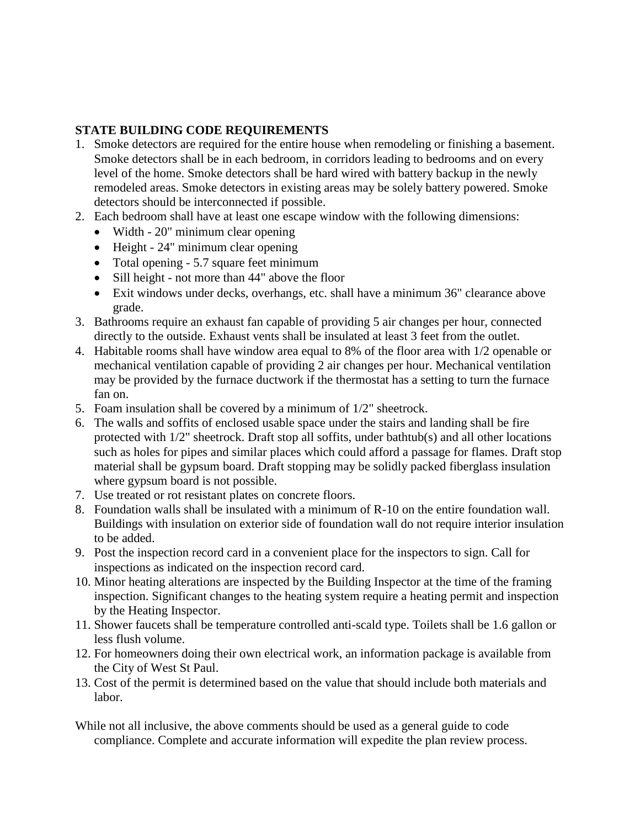### **STATE BUILDING CODE REQUIREMENTS**

- 1. Smoke detectors are required for the entire house when remodeling or finishing a basement. Smoke detectors shall be in each bedroom, in corridors leading to bedrooms and on every level of the home. Smoke detectors shall be hard wired with battery backup in the newly remodeled areas. Smoke detectors in existing areas may be solely battery powered. Smoke detectors should be interconnected if possible.
- 2. Each bedroom shall have at least one escape window with the following dimensions:
	- Width 20" minimum clear opening
	- Height 24" minimum clear opening
	- Total opening 5.7 square feet minimum
	- Sill height not more than 44" above the floor
	- Exit windows under decks, overhangs, etc. shall have a minimum 36" clearance above grade.
- 3. Bathrooms require an exhaust fan capable of providing 5 air changes per hour, connected directly to the outside. Exhaust vents shall be insulated at least 3 feet from the outlet.
- 4. Habitable rooms shall have window area equal to 8% of the floor area with 1/2 openable or mechanical ventilation capable of providing 2 air changes per hour. Mechanical ventilation may be provided by the furnace ductwork if the thermostat has a setting to turn the furnace fan on.
- 5. Foam insulation shall be covered by a minimum of 1/2" sheetrock.
- 6. The walls and soffits of enclosed usable space under the stairs and landing shall be fire protected with 1/2" sheetrock. Draft stop all soffits, under bathtub(s) and all other locations such as holes for pipes and similar places which could afford a passage for flames. Draft stop material shall be gypsum board. Draft stopping may be solidly packed fiberglass insulation where gypsum board is not possible.
- 7. Use treated or rot resistant plates on concrete floors.
- 8. Foundation walls shall be insulated with a minimum of R-10 on the entire foundation wall. Buildings with insulation on exterior side of foundation wall do not require interior insulation to be added.
- 9. Post the inspection record card in a convenient place for the inspectors to sign. Call for inspections as indicated on the inspection record card.
- 10. Minor heating alterations are inspected by the Building Inspector at the time of the framing inspection. Significant changes to the heating system require a heating permit and inspection by the Heating Inspector.
- 11. Shower faucets shall be temperature controlled anti-scald type. Toilets shall be 1.6 gallon or less flush volume.
- 12. For homeowners doing their own electrical work, an information package is available from the City of West St Paul.
- 13. Cost of the permit is determined based on the value that should include both materials and labor.
- While not all inclusive, the above comments should be used as a general guide to code compliance. Complete and accurate information will expedite the plan review process.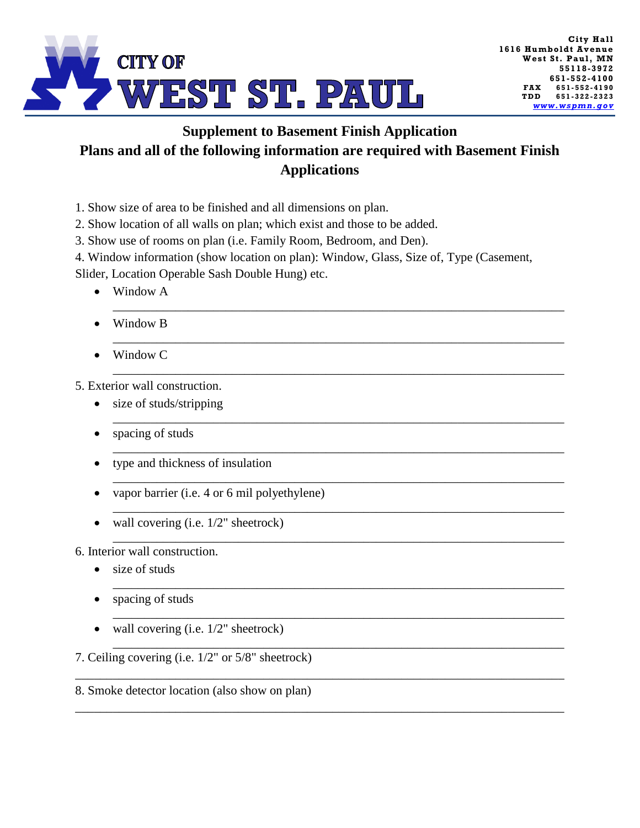

## **Supplement to Basement Finish Application Plans and all of the following information are required with Basement Finish Applications**

- 1. Show size of area to be finished and all dimensions on plan.
- 2. Show location of all walls on plan; which exist and those to be added.
- 3. Show use of rooms on plan (i.e. Family Room, Bedroom, and Den).
- 4. Window information (show location on plan): Window, Glass, Size of, Type (Casement,

\_\_\_\_\_\_\_\_\_\_\_\_\_\_\_\_\_\_\_\_\_\_\_\_\_\_\_\_\_\_\_\_\_\_\_\_\_\_\_\_\_\_\_\_\_\_\_\_\_\_\_\_\_\_\_\_\_\_\_\_\_\_\_\_\_\_\_\_\_\_\_\_

\_\_\_\_\_\_\_\_\_\_\_\_\_\_\_\_\_\_\_\_\_\_\_\_\_\_\_\_\_\_\_\_\_\_\_\_\_\_\_\_\_\_\_\_\_\_\_\_\_\_\_\_\_\_\_\_\_\_\_\_\_\_\_\_\_\_\_\_\_\_\_\_

\_\_\_\_\_\_\_\_\_\_\_\_\_\_\_\_\_\_\_\_\_\_\_\_\_\_\_\_\_\_\_\_\_\_\_\_\_\_\_\_\_\_\_\_\_\_\_\_\_\_\_\_\_\_\_\_\_\_\_\_\_\_\_\_\_\_\_\_\_\_\_\_

\_\_\_\_\_\_\_\_\_\_\_\_\_\_\_\_\_\_\_\_\_\_\_\_\_\_\_\_\_\_\_\_\_\_\_\_\_\_\_\_\_\_\_\_\_\_\_\_\_\_\_\_\_\_\_\_\_\_\_\_\_\_\_\_\_\_\_\_\_\_\_\_

\_\_\_\_\_\_\_\_\_\_\_\_\_\_\_\_\_\_\_\_\_\_\_\_\_\_\_\_\_\_\_\_\_\_\_\_\_\_\_\_\_\_\_\_\_\_\_\_\_\_\_\_\_\_\_\_\_\_\_\_\_\_\_\_\_\_\_\_\_\_\_\_

\_\_\_\_\_\_\_\_\_\_\_\_\_\_\_\_\_\_\_\_\_\_\_\_\_\_\_\_\_\_\_\_\_\_\_\_\_\_\_\_\_\_\_\_\_\_\_\_\_\_\_\_\_\_\_\_\_\_\_\_\_\_\_\_\_\_\_\_\_\_\_\_

\_\_\_\_\_\_\_\_\_\_\_\_\_\_\_\_\_\_\_\_\_\_\_\_\_\_\_\_\_\_\_\_\_\_\_\_\_\_\_\_\_\_\_\_\_\_\_\_\_\_\_\_\_\_\_\_\_\_\_\_\_\_\_\_\_\_\_\_\_\_\_\_

\_\_\_\_\_\_\_\_\_\_\_\_\_\_\_\_\_\_\_\_\_\_\_\_\_\_\_\_\_\_\_\_\_\_\_\_\_\_\_\_\_\_\_\_\_\_\_\_\_\_\_\_\_\_\_\_\_\_\_\_\_\_\_\_\_\_\_\_\_\_\_\_

\_\_\_\_\_\_\_\_\_\_\_\_\_\_\_\_\_\_\_\_\_\_\_\_\_\_\_\_\_\_\_\_\_\_\_\_\_\_\_\_\_\_\_\_\_\_\_\_\_\_\_\_\_\_\_\_\_\_\_\_\_\_\_\_\_\_\_\_\_\_\_\_

\_\_\_\_\_\_\_\_\_\_\_\_\_\_\_\_\_\_\_\_\_\_\_\_\_\_\_\_\_\_\_\_\_\_\_\_\_\_\_\_\_\_\_\_\_\_\_\_\_\_\_\_\_\_\_\_\_\_\_\_\_\_\_\_\_\_\_\_\_\_\_\_

\_\_\_\_\_\_\_\_\_\_\_\_\_\_\_\_\_\_\_\_\_\_\_\_\_\_\_\_\_\_\_\_\_\_\_\_\_\_\_\_\_\_\_\_\_\_\_\_\_\_\_\_\_\_\_\_\_\_\_\_\_\_\_\_\_\_\_\_\_\_\_\_

\_\_\_\_\_\_\_\_\_\_\_\_\_\_\_\_\_\_\_\_\_\_\_\_\_\_\_\_\_\_\_\_\_\_\_\_\_\_\_\_\_\_\_\_\_\_\_\_\_\_\_\_\_\_\_\_\_\_\_\_\_\_\_\_\_\_\_\_\_\_\_\_\_\_\_\_\_\_

\_\_\_\_\_\_\_\_\_\_\_\_\_\_\_\_\_\_\_\_\_\_\_\_\_\_\_\_\_\_\_\_\_\_\_\_\_\_\_\_\_\_\_\_\_\_\_\_\_\_\_\_\_\_\_\_\_\_\_\_\_\_\_\_\_\_\_\_\_\_\_\_\_\_\_\_\_\_

Slider, Location Operable Sash Double Hung) etc.

- Window A
- Window B
- Window C

5. Exterior wall construction.

- size of studs/stripping
- spacing of studs
- type and thickness of insulation
- vapor barrier (i.e. 4 or 6 mil polyethylene)
- $\bullet$  wall covering (i.e.  $1/2$ " sheetrock)

6. Interior wall construction.

- size of studs
- spacing of studs
- wall covering (i.e.  $1/2$ " sheetrock)

7. Ceiling covering (i.e. 1/2" or 5/8" sheetrock)

#### 8. Smoke detector location (also show on plan)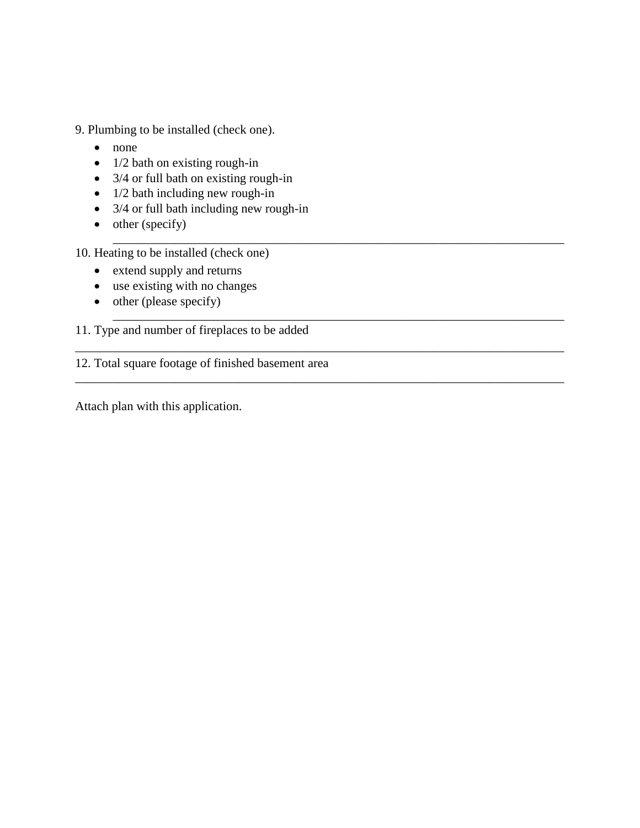- 9. Plumbing to be installed (check one).
	- none
	- $\bullet$  1/2 bath on existing rough-in
	- $\bullet$  3/4 or full bath on existing rough-in
	- $\bullet$  1/2 bath including new rough-in
	- 3/4 or full bath including new rough-in

\_\_\_\_\_\_\_\_\_\_\_\_\_\_\_\_\_\_\_\_\_\_\_\_\_\_\_\_\_\_\_\_\_\_\_\_\_\_\_\_\_\_\_\_\_\_\_\_\_\_\_\_\_\_\_\_\_\_\_\_\_\_\_\_\_\_\_\_\_\_\_\_

\_\_\_\_\_\_\_\_\_\_\_\_\_\_\_\_\_\_\_\_\_\_\_\_\_\_\_\_\_\_\_\_\_\_\_\_\_\_\_\_\_\_\_\_\_\_\_\_\_\_\_\_\_\_\_\_\_\_\_\_\_\_\_\_\_\_\_\_\_\_\_\_

\_\_\_\_\_\_\_\_\_\_\_\_\_\_\_\_\_\_\_\_\_\_\_\_\_\_\_\_\_\_\_\_\_\_\_\_\_\_\_\_\_\_\_\_\_\_\_\_\_\_\_\_\_\_\_\_\_\_\_\_\_\_\_\_\_\_\_\_\_\_\_\_\_\_\_\_\_\_

\_\_\_\_\_\_\_\_\_\_\_\_\_\_\_\_\_\_\_\_\_\_\_\_\_\_\_\_\_\_\_\_\_\_\_\_\_\_\_\_\_\_\_\_\_\_\_\_\_\_\_\_\_\_\_\_\_\_\_\_\_\_\_\_\_\_\_\_\_\_\_\_\_\_\_\_\_\_

 $\bullet$  other (specify)

10. Heating to be installed (check one)

- extend supply and returns
- use existing with no changes
- $\bullet$  other (please specify)

11. Type and number of fireplaces to be added

12. Total square footage of finished basement area

Attach plan with this application.